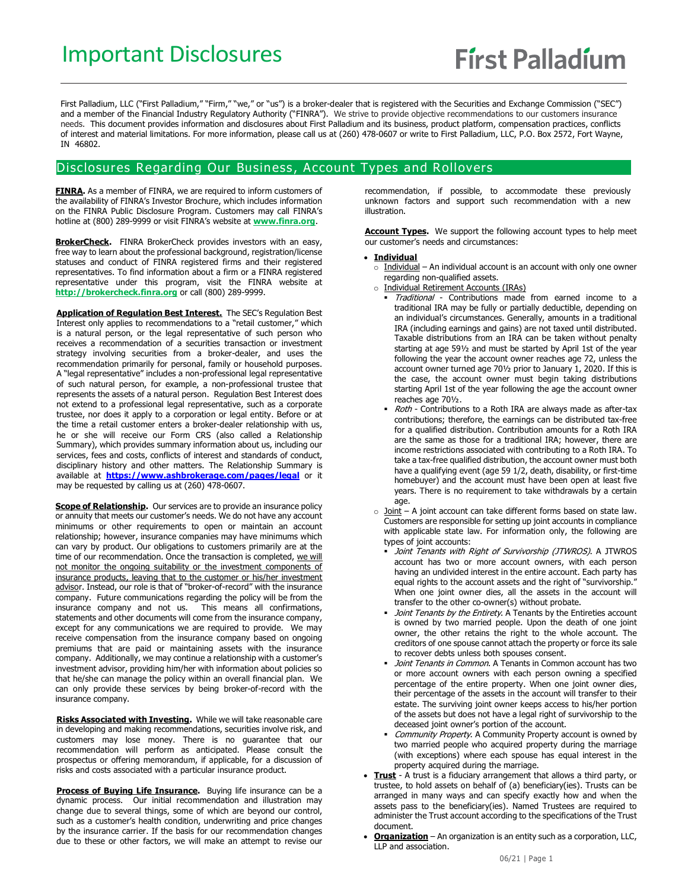First Palladium, LLC ("First Palladium," "Firm," "we," or "us") is a broker-dealer that is registered with the Securities and Exchange Commission ("SEC") and a member of the Financial Industry Regulatory Authority ("FINRA"). We strive to provide objective recommendations to our customers insurance needs. This document provides information and disclosures about First Palladium and its business, product platform, compensation practices, conflicts of interest and material limitations. For more information, please call us at (260) 478-0607 or write to First Palladium, LLC, P.O. Box 2572, Fort Wayne, IN 46802.

## Disclosures Regarding Our Business , Account Types and Rollovers

**FINRA.** As a member of FINRA, we are required to inform customers of the availability of FINRA's Investor Brochure, which includes information on the FINRA Public Disclosure Program. Customers may call FINRA's hotline at (800) 289-9999 or visit FINRA's website at **[www.finra.org](http://www.finra.org/)**.

BrokerCheck. FINRA BrokerCheck provides investors with an easy, free way to learn about the professional background, registration/license statuses and conduct of FINRA registered firms and their registered representatives. To find information about a firm or a FINRA registered representative under this program, visit the FINRA website at **[http://brokercheck.finra.org](http://brokercheck.finra.org/)** or call (800) 289-9999.

**Application of Regulation Best Interest.** The SEC's Regulation Best Interest only applies to recommendations to a "retail customer," which is a natural person, or the legal representative of such person who receives a recommendation of a securities transaction or investment strategy involving securities from a broker-dealer, and uses the recommendation primarily for personal, family or household purposes. A "legal representative" includes a non-professional legal representative of such natural person, for example, a non-professional trustee that represents the assets of a natural person. Regulation Best Interest does not extend to a professional legal representative, such as a corporate trustee, nor does it apply to a corporation or legal entity. Before or at the time a retail customer enters a broker-dealer relationship with us, he or she will receive our Form CRS (also called a Relationship Summary), which provides summary information about us, including our services, fees and costs, conflicts of interest and standards of conduct, disciplinary history and other matters. The Relationship Summary is available at **<https://www.ashbrokerage.com/pages/legal>** or it may be requested by calling us at (260) 478-0607.

**Scope of Relationship.** Our services are to provide an insurance policy or annuity that meets our customer's needs. We do not have any account minimums or other requirements to open or maintain an account relationship; however, insurance companies may have minimums which can vary by product. Our obligations to customers primarily are at the time of our recommendation. Once the transaction is completed, we will not monitor the ongoing suitability or the investment components of insurance products, leaving that to the customer or his/her investment advisor. Instead, our role is that of "broker-of-record" with the insurance company. Future communications regarding the policy will be from the insurance company and not us. This means all confirmations, statements and other documents will come from the insurance company, except for any communications we are required to provide. We may receive compensation from the insurance company based on ongoing premiums that are paid or maintaining assets with the insurance company. Additionally, we may continue a relationship with a customer's investment advisor, providing him/her with information about policies so that he/she can manage the policy within an overall financial plan. We can only provide these services by being broker-of-record with the insurance company.

**Risks Associated with Investing.** While we will take reasonable care in developing and making recommendations, securities involve risk, and customers may lose money. There is no guarantee that our recommendation will perform as anticipated. Please consult the prospectus or offering memorandum, if applicable, for a discussion of risks and costs associated with a particular insurance product.

**Process of Buying Life Insurance.** Buying life insurance can be a dynamic process. Our initial recommendation and illustration may change due to several things, some of which are beyond our control, such as a customer's health condition, underwriting and price changes by the insurance carrier. If the basis for our recommendation changes due to these or other factors, we will make an attempt to revise our

recommendation, if possible, to accommodate these previously unknown factors and support such recommendation with a new illustration.

**Account Types.** We support the following account types to help meet our customer's needs and circumstances:

#### • **Individual**

- $\circ$  Individual An individual account is an account with only one owner regarding non-qualified assets.
- o Individual Retirement Accounts (IRAs)
	- Traditional Contributions made from earned income to a traditional IRA may be fully or partially deductible, depending on an individual's circumstances. Generally, amounts in a traditional IRA (including earnings and gains) are not taxed until distributed. Taxable distributions from an IRA can be taken without penalty starting at age 59½ and must be started by April 1st of the year following the year the account owner reaches age 72, unless the account owner turned age 70½ prior to January 1, 2020. If this is the case, the account owner must begin taking distributions starting April 1st of the year following the age the account owner reaches age 70½.
	- Roth Contributions to a Roth IRA are always made as after-tax contributions; therefore, the earnings can be distributed tax-free for a qualified distribution. Contribution amounts for a Roth IRA are the same as those for a traditional IRA; however, there are income restrictions associated with contributing to a Roth IRA. To take a tax-free qualified distribution, the account owner must both have a qualifying event (age 59 1/2, death, disability, or first-time homebuyer) and the account must have been open at least five years. There is no requirement to take withdrawals by a certain age.
- $\circ$  Joint A joint account can take different forms based on state law. Customers are responsible for setting up joint accounts in compliance with applicable state law. For information only, the following are types of joint accounts:
	- Joint Tenants with Right of Survivorship (JTWROS). A JTWROS account has two or more account owners, with each person having an undivided interest in the entire account. Each party has equal rights to the account assets and the right of "survivorship." When one joint owner dies, all the assets in the account will transfer to the other co-owner(s) without probate.
	- Joint Tenants by the Entirety. A Tenants by the Entireties account is owned by two married people. Upon the death of one joint owner, the other retains the right to the whole account. The creditors of one spouse cannot attach the property or force its sale to recover debts unless both spouses consent.
	- Joint Tenants in Common. A Tenants in Common account has two or more account owners with each person owning a specified percentage of the entire property. When one joint owner dies, their percentage of the assets in the account will transfer to their estate. The surviving joint owner keeps access to his/her portion of the assets but does not have a legal right of survivorship to the deceased joint owner's portion of the account.
	- Community Property. A Community Property account is owned by two married people who acquired property during the marriage (with exceptions) where each spouse has equal interest in the property acquired during the marriage.
- **Trust** A trust is a fiduciary arrangement that allows a third party, or trustee, to hold assets on behalf of (a) beneficiary(ies). Trusts can be arranged in many ways and can specify exactly how and when the assets pass to the beneficiary(ies). Named Trustees are required to administer the Trust account according to the specifications of the Trust document.
- **Organization** An organization is an entity such as a corporation, LLC, LLP and association.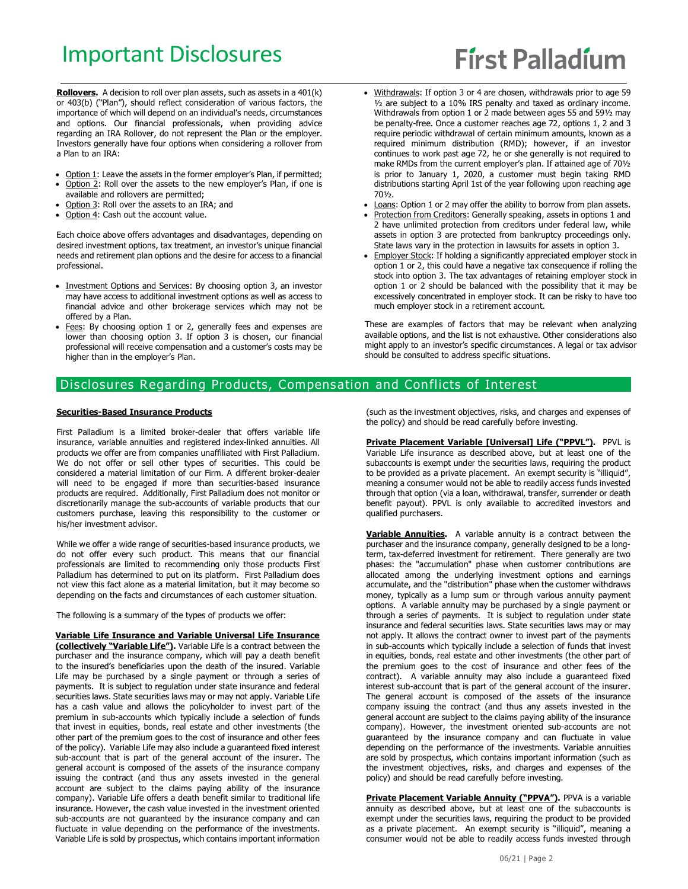# Important Disclosures

# **First Palladium**

Rollovers. A decision to roll over plan assets, such as assets in a 401(k) or 403(b) ("Plan"), should reflect consideration of various factors, the importance of which will depend on an individual's needs, circumstances and options. Our financial professionals, when providing advice regarding an IRA Rollover, do not represent the Plan or the employer. Investors generally have four options when considering a rollover from a Plan to an IRA:

- Option 1: Leave the assets in the former employer's Plan, if permitted;
- Option 2: Roll over the assets to the new employer's Plan, if one is available and rollovers are permitted;
- Option 3: Roll over the assets to an IRA; and
- Option 4: Cash out the account value.

Each choice above offers advantages and disadvantages, depending on desired investment options, tax treatment, an investor's unique financial needs and retirement plan options and the desire for access to a financial professional.

- Investment Options and Services: By choosing option 3, an investor may have access to additional investment options as well as access to financial advice and other brokerage services which may not be offered by a Plan.
- Fees: By choosing option 1 or 2, generally fees and expenses are lower than choosing option 3. If option 3 is chosen, our financial professional will receive compensation and a customer's costs may be higher than in the employer's Plan.
- Withdrawals: If option 3 or 4 are chosen, withdrawals prior to age 59 ½ are subject to a 10% IRS penalty and taxed as ordinary income. Withdrawals from option 1 or 2 made between ages 55 and 59½ may be penalty-free. Once a customer reaches age 72, options 1, 2 and 3 require periodic withdrawal of certain minimum amounts, known as a required minimum distribution (RMD); however, if an investor continues to work past age 72, he or she generally is not required to make RMDs from the current employer's plan. If attained age of 70½ is prior to January 1, 2020, a customer must begin taking RMD distributions starting April 1st of the year following upon reaching age 70½.
- Loans: Option 1 or 2 may offer the ability to borrow from plan assets.
- Protection from Creditors: Generally speaking, assets in options 1 and 2 have unlimited protection from creditors under federal law, while assets in option 3 are protected from bankruptcy proceedings only. State laws vary in the protection in lawsuits for assets in option 3.
- Employer Stock: If holding a significantly appreciated employer stock in option 1 or 2, this could have a negative tax consequence if rolling the stock into option 3. The tax advantages of retaining employer stock in option 1 or 2 should be balanced with the possibility that it may be excessively concentrated in employer stock. It can be risky to have too much employer stock in a retirement account.

These are examples of factors that may be relevant when analyzing available options, and the list is not exhaustive. Other considerations also might apply to an investor's specific circumstances. A legal or tax advisor should be consulted to address specific situations.

## Disclosures Regarding Products, Compensation and Conflicts of Interest

#### **Securities-Based Insurance Products**

First Palladium is a limited broker-dealer that offers variable life insurance, variable annuities and registered index-linked annuities. All products we offer are from companies unaffiliated with First Palladium. We do not offer or sell other types of securities. This could be considered a material limitation of our Firm. A different broker-dealer will need to be engaged if more than securities-based insurance products are required. Additionally, First Palladium does not monitor or discretionarily manage the sub-accounts of variable products that our customers purchase, leaving this responsibility to the customer or his/her investment advisor.

While we offer a wide range of securities-based insurance products, we do not offer every such product. This means that our financial professionals are limited to recommending only those products First Palladium has determined to put on its platform. First Palladium does not view this fact alone as a material limitation, but it may become so depending on the facts and circumstances of each customer situation.

The following is a summary of the types of products we offer:

**Variable Life Insurance and Variable Universal Life Insurance (collectively "Variable Life").** Variable Life is a contract between the purchaser and the insurance company, which will pay a death benefit to the insured's beneficiaries upon the death of the insured. Variable Life may be purchased by a single payment or through a series of payments. It is subject to regulation under state insurance and federal securities laws. State securities laws may or may not apply. Variable Life has a cash value and allows the policyholder to invest part of the premium in sub-accounts which typically include a selection of funds that invest in equities, bonds, real estate and other investments (the other part of the premium goes to the cost of insurance and other fees of the policy). Variable Life may also include a guaranteed fixed interest sub-account that is part of the general account of the insurer. The general account is composed of the assets of the insurance company issuing the contract (and thus any assets invested in the general account are subject to the claims paying ability of the insurance company). Variable Life offers a death benefit similar to traditional life insurance. However, the cash value invested in the investment oriented sub-accounts are not guaranteed by the insurance company and can fluctuate in value depending on the performance of the investments. Variable Life is sold by prospectus, which contains important information

(such as the investment objectives, risks, and charges and expenses of the policy) and should be read carefully before investing.

**Private Placement Variable [Universal] Life ("PPVL").** PPVL is Variable Life insurance as described above, but at least one of the subaccounts is exempt under the securities laws, requiring the product to be provided as a private placement. An exempt security is "illiquid", meaning a consumer would not be able to readily access funds invested through that option (via a loan, withdrawal, transfer, surrender or death benefit payout). PPVL is only available to accredited investors and qualified purchasers.

**Variable Annuities.** A variable annuity is a contract between the purchaser and the insurance company, generally designed to be a longterm, tax-deferred investment for retirement. There generally are two phases: the "accumulation" phase when customer contributions are allocated among the underlying investment options and earnings accumulate, and the "distribution" phase when the customer withdraws money, typically as a lump sum or through various annuity payment options. A variable annuity may be purchased by a single payment or through a series of payments. It is subject to regulation under state insurance and federal securities laws. State securities laws may or may not apply. It allows the contract owner to invest part of the payments in sub-accounts which typically include a selection of funds that invest in equities, bonds, real estate and other investments (the other part of the premium goes to the cost of insurance and other fees of the contract). A variable annuity may also include a guaranteed fixed interest sub-account that is part of the general account of the insurer. The general account is composed of the assets of the insurance company issuing the contract (and thus any assets invested in the general account are subject to the claims paying ability of the insurance company). However, the investment oriented sub-accounts are not guaranteed by the insurance company and can fluctuate in value depending on the performance of the investments. Variable annuities are sold by prospectus, which contains important information (such as the investment objectives, risks, and charges and expenses of the policy) and should be read carefully before investing.

**Private Placement Variable Annuity ("PPVA").** PPVA is a variable annuity as described above, but at least one of the subaccounts is exempt under the securities laws, requiring the product to be provided as a private placement. An exempt security is "illiquid", meaning a consumer would not be able to readily access funds invested through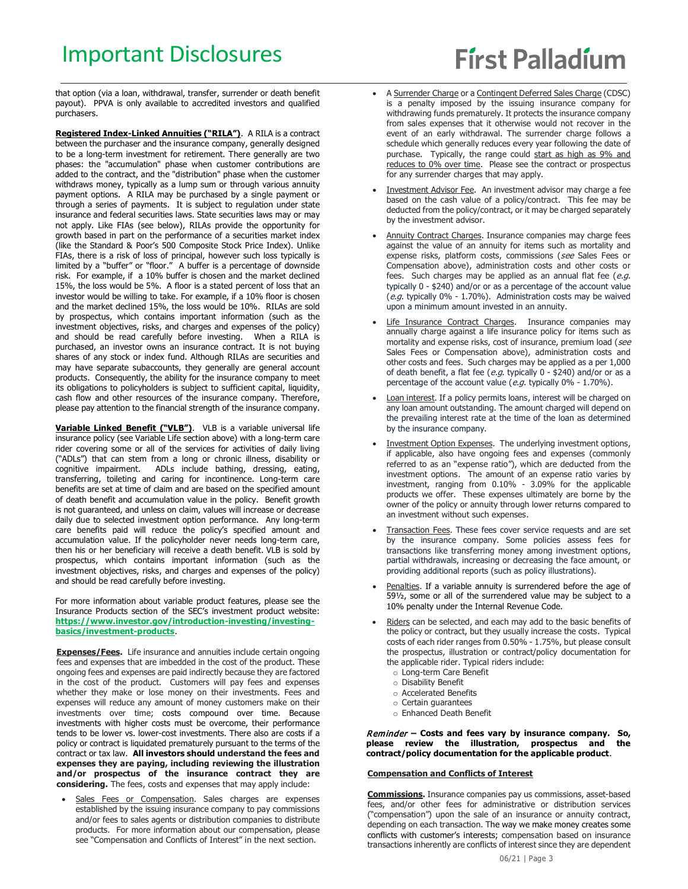that option (via a loan, withdrawal, transfer, surrender or death benefit payout). PPVA is only available to accredited investors and qualified purchasers.

**Registered Index-Linked Annuities ("RILA")**. A RILA is a contract between the purchaser and the insurance company, generally designed to be a long-term investment for retirement. There generally are two phases: the "accumulation" phase when customer contributions are added to the contract, and the "distribution" phase when the customer withdraws money, typically as a lump sum or through various annuity payment options. A RILA may be purchased by a single payment or through a series of payments. It is subject to regulation under state insurance and federal securities laws. State securities laws may or may not apply. Like FIAs (see below), RILAs provide the opportunity for growth based in part on the performance of a securities market index (like the Standard & Poor's 500 Composite Stock Price Index). Unlike FIAs, there is a risk of loss of principal, however such loss typically is limited by a "buffer" or "floor." A buffer is a percentage of downside risk. For example, if a 10% buffer is chosen and the market declined 15%, the loss would be 5%. A floor is a stated percent of loss that an investor would be willing to take. For example, if a 10% floor is chosen and the market declined 15%, the loss would be 10%. RILAs are sold by prospectus, which contains important information (such as the investment objectives, risks, and charges and expenses of the policy) and should be read carefully before investing. When a RILA is purchased, an investor owns an insurance contract. It is not buying shares of any stock or index fund. Although RILAs are securities and may have separate subaccounts, they generally are general account products. Consequently, the ability for the insurance company to meet its obligations to policyholders is subject to sufficient capital, liquidity, cash flow and other resources of the insurance company. Therefore, please pay attention to the financial strength of the insurance company.

**Variable Linked Benefit ("VLB")**. VLB is a variable universal life insurance policy (see Variable Life section above) with a long-term care rider covering some or all of the services for activities of daily living ("ADLs") that can stem from a long or chronic illness, disability or cognitive impairment. ADLs include bathing, dressing, eating, transferring, toileting and caring for incontinence. Long-term care benefits are set at time of claim and are based on the specified amount of death benefit and accumulation value in the policy. Benefit growth is not guaranteed, and unless on claim, values will increase or decrease daily due to selected investment option performance. Any long-term care benefits paid will reduce the policy's specified amount and accumulation value. If the policyholder never needs long-term care, then his or her beneficiary will receive a death benefit. VLB is sold by prospectus, which contains important information (such as the investment objectives, risks, and charges and expenses of the policy) and should be read carefully before investing.

For more information about variable product features, please see the Insurance Products section of the SEC's investment product website: **https://www.investor.gov/introduction-investing/investingbasics/investment-products**.

**Expenses/Fees.** Life insurance and annuities include certain ongoing fees and expenses that are imbedded in the cost of the product. These ongoing fees and expenses are paid indirectly because they are factored in the cost of the product. Customers will pay fees and expenses whether they make or lose money on their investments. Fees and expenses will reduce any amount of money customers make on their investments over time; costs compound over time. Because investments with higher costs must be overcome, their performance tends to be lower vs. lower-cost investments. There also are costs if a policy or contract is liquidated prematurely pursuant to the terms of the contract or tax law. **All investors should understand the fees and expenses they are paying, including reviewing the illustration and/or prospectus of the insurance contract they are considering.** The fees, costs and expenses that may apply include:

Sales Fees or Compensation. Sales charges are expenses established by the issuing insurance company to pay commissions and/or fees to sales agents or distribution companies to distribute products. For more information about our compensation, please see "Compensation and Conflicts of Interest" in the next section.

- A Surrender Charge or a Contingent Deferred Sales Charge (CDSC) is a penalty imposed by the issuing insurance company for withdrawing funds prematurely. It protects the insurance company from sales expenses that it otherwise would not recover in the event of an early withdrawal. The surrender charge follows a schedule which generally reduces every year following the date of purchase. Typically, the range could start as high as 9% and reduces to 0% over time. Please see the contract or prospectus for any surrender charges that may apply.
- Investment Advisor Fee. An investment advisor may charge a fee based on the cash value of a policy/contract. This fee may be deducted from the policy/contract, or it may be charged separately by the investment advisor.
- Annuity Contract Charges. Insurance companies may charge fees against the value of an annuity for items such as mortality and expense risks, platform costs, commissions (see Sales Fees or Compensation above), administration costs and other costs or fees. Such charges may be applied as an annual flat fee  $(e.g.,)$ typically 0 - \$240) and/or or as a percentage of the account value (e.g. typically 0% - 1.70%). Administration costs may be waived upon a minimum amount invested in an annuity.
- Life Insurance Contract Charges. Insurance companies may annually charge against a life insurance policy for items such as mortality and expense risks, cost of insurance, premium load (see Sales Fees or Compensation above), administration costs and other costs and fees. Such charges may be applied as a per 1,000 of death benefit, a flat fee (e.g. typically  $0 - $240$ ) and/or or as a percentage of the account value (e.g. typically  $0\%$  - 1.70%).
- Loan interest. If a policy permits loans, interest will be charged on any loan amount outstanding. The amount charged will depend on the prevailing interest rate at the time of the loan as determined by the insurance company.
- Investment Option Expenses. The underlying investment options, if applicable, also have ongoing fees and expenses (commonly referred to as an "expense ratio"), which are deducted from the investment options. The amount of an expense ratio varies by investment, ranging from 0.10% - 3.09% for the applicable products we offer. These expenses ultimately are borne by the owner of the policy or annuity through lower returns compared to an investment without such expenses.
- Transaction Fees. These fees cover service requests and are set by the insurance company. Some policies assess fees for transactions like transferring money among investment options, partial withdrawals, increasing or decreasing the face amount, or providing additional reports (such as policy illustrations).
- Penalties. If a variable annuity is surrendered before the age of 591/<sub>2</sub>, some or all of the surrendered value may be subject to a 10% penalty under the Internal Revenue Code.
- Riders can be selected, and each may add to the basic benefits of the policy or contract, but they usually increase the costs. Typical costs of each rider ranges from 0.50% - 1.75%, but please consult the prospectus, illustration or contract/policy documentation for the applicable rider. Typical riders include:
	- o Long-term Care Benefit
	- o Disability Benefit
	- o Accelerated Benefits
	- o Certain guarantees
	- o Enhanced Death Benefit

Reminder **– Costs and fees vary by insurance company. So, please review the illustration, prospectus and the contract/policy documentation for the applicable product**.

#### **Compensation and Conflicts of Interest**

**Commissions.** Insurance companies pay us commissions, asset-based fees, and/or other fees for administrative or distribution services ("compensation") upon the sale of an insurance or annuity contract, depending on each transaction. The way we make money creates some conflicts with customer's interests; compensation based on insurance transactions inherently are conflicts of interest since they are dependent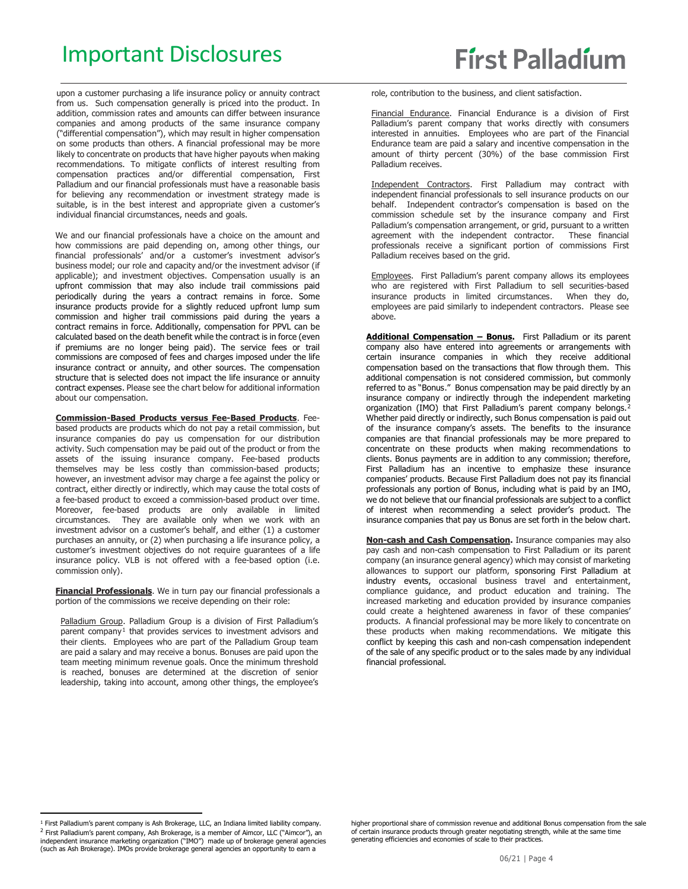upon a customer purchasing a life insurance policy or annuity contract from us. Such compensation generally is priced into the product. In addition, commission rates and amounts can differ between insurance companies and among products of the same insurance company ("differential compensation"), which may result in higher compensation on some products than others. A financial professional may be more likely to concentrate on products that have higher payouts when making recommendations. To mitigate conflicts of interest resulting from compensation practices and/or differential compensation, First Palladium and our financial professionals must have a reasonable basis for believing any recommendation or investment strategy made is suitable, is in the best interest and appropriate given a customer's individual financial circumstances, needs and goals.

We and our financial professionals have a choice on the amount and how commissions are paid depending on, among other things, our financial professionals' and/or a customer's investment advisor's business model; our role and capacity and/or the investment advisor (if applicable); and investment objectives. Compensation usually is an upfront commission that may also include trail commissions paid periodically during the years a contract remains in force. Some insurance products provide for a slightly reduced upfront lump sum commission and higher trail commissions paid during the years a contract remains in force. Additionally, compensation for PPVL can be calculated based on the death benefit while the contract is in force (even if premiums are no longer being paid). The service fees or trail commissions are composed of fees and charges imposed under the life insurance contract or annuity, and other sources. The compensation structure that is selected does not impact the life insurance or annuity contract expenses. Please see the chart below for additional information about our compensation.

**Commission-Based Products versus Fee-Based Products**. Feebased products are products which do not pay a retail commission, but insurance companies do pay us compensation for our distribution activity. Such compensation may be paid out of the product or from the assets of the issuing insurance company. Fee-based products themselves may be less costly than commission-based products; however, an investment advisor may charge a fee against the policy or contract, either directly or indirectly, which may cause the total costs of a fee-based product to exceed a commission-based product over time. Moreover, fee-based products are only available in limited circumstances. They are available only when we work with an investment advisor on a customer's behalf, and either (1) a customer purchases an annuity, or (2) when purchasing a life insurance policy, a customer's investment objectives do not require guarantees of a life insurance policy. VLB is not offered with a fee-based option (i.e. commission only).

**Financial Professionals**. We in turn pay our financial professionals a portion of the commissions we receive depending on their role:

Palladium Group. Palladium Group is a division of First Palladium's parent company<sup>[1](#page-3-0)</sup> that provides services to investment advisors and their clients. Employees who are part of the Palladium Group team are paid a salary and may receive a bonus. Bonuses are paid upon the team meeting minimum revenue goals. Once the minimum threshold is reached, bonuses are determined at the discretion of senior leadership, taking into account, among other things, the employee's role, contribution to the business, and client satisfaction.

Financial Endurance. Financial Endurance is a division of First Palladium's parent company that works directly with consumers interested in annuities. Employees who are part of the Financial Endurance team are paid a salary and incentive compensation in the amount of thirty percent (30%) of the base commission First Palladium receives.

Independent Contractors. First Palladium may contract with independent financial professionals to sell insurance products on our behalf. Independent contractor's compensation is based on the commission schedule set by the insurance company and First Palladium's compensation arrangement, or grid, pursuant to a written agreement with the independent contractor. These financial professionals receive a significant portion of commissions First Palladium receives based on the grid.

Employees. First Palladium's parent company allows its employees who are registered with First Palladium to sell securities-based insurance products in limited circumstances. When they do, employees are paid similarly to independent contractors. Please see above.

**Additional Compensation – Bonus.** First Palladium or its parent company also have entered into agreements or arrangements with certain insurance companies in which they receive additional compensation based on the transactions that flow through them. This additional compensation is not considered commission, but commonly referred to as "Bonus." Bonus compensation may be paid directly by an insurance company or indirectly through the independent marketing organization (IMO) that First Palladium's parent company belongs.<sup>[2](#page-3-1)</sup> Whether paid directly or indirectly, such Bonus compensation is paid out of the insurance company's assets. The benefits to the insurance companies are that financial professionals may be more prepared to concentrate on these products when making recommendations to clients. Bonus payments are in addition to any commission; therefore, First Palladium has an incentive to emphasize these insurance companies' products. Because First Palladium does not pay its financial professionals any portion of Bonus, including what is paid by an IMO, we do not believe that our financial professionals are subject to a conflict of interest when recommending a select provider's product. The insurance companies that pay us Bonus are set forth in the below chart.

**Non-cash and Cash Compensation.** Insurance companies may also pay cash and non-cash compensation to First Palladium or its parent company (an insurance general agency) which may consist of marketing allowances to support our platform, sponsoring First Palladium at industry events, occasional business travel and entertainment, compliance guidance, and product education and training. The increased marketing and education provided by insurance companies could create a heightened awareness in favor of these companies' products. A financial professional may be more likely to concentrate on these products when making recommendations. We mitigate this conflict by keeping this cash and non-cash compensation independent of the sale of any specific product or to the sales made by any individual financial professional.

<span id="page-3-1"></span><span id="page-3-0"></span><sup>&</sup>lt;sup>1</sup> First Palladium's parent company is Ash Brokerage, LLC, an Indiana limited liability company. <sup>2</sup> First Palladium's parent company, Ash Brokerage, is a member of Aimcor, LLC ("Aimcor"), an independent insurance marketing organization ("IMO") made up of brokerage general agencies (such as Ash Brokerage). IMOs provide brokerage general agencies an opportunity to earn a

higher proportional share of commission revenue and additional Bonus compensation from the sale of certain insurance products through greater negotiating strength, while at the same time generating efficiencies and economies of scale to their practices.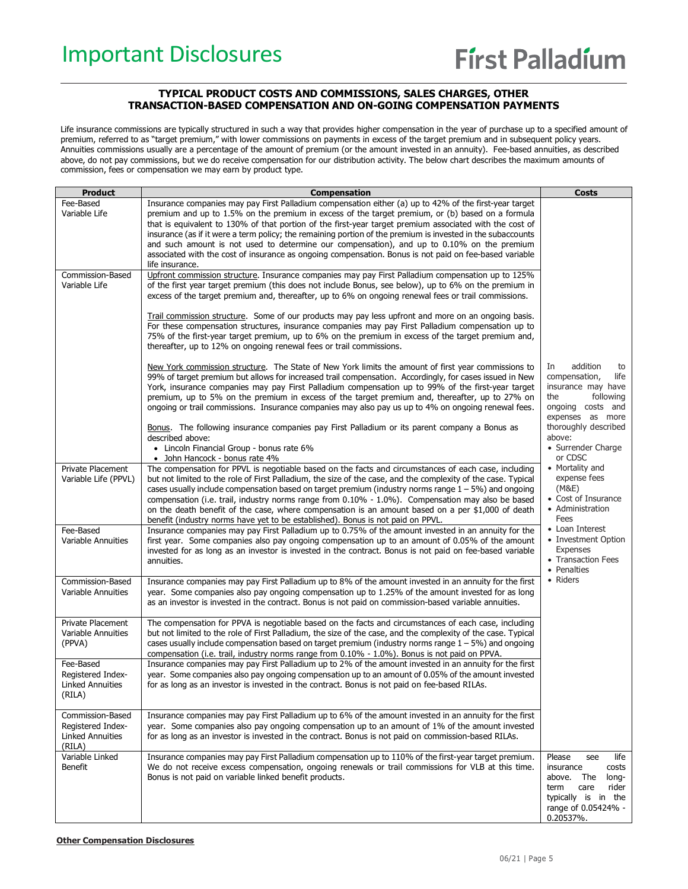### **TYPICAL PRODUCT COSTS AND COMMISSIONS, SALES CHARGES, OTHER TRANSACTION-BASED COMPENSATION AND ON-GOING COMPENSATION PAYMENTS**

Life insurance commissions are typically structured in such a way that provides higher compensation in the year of purchase up to a specified amount of premium, referred to as "target premium," with lower commissions on payments in excess of the target premium and in subsequent policy years. Annuities commissions usually are a percentage of the amount of premium (or the amount invested in an annuity). Fee-based annuities, as described above, do not pay commissions, but we do receive compensation for our distribution activity. The below chart describes the maximum amounts of commission, fees or compensation we may earn by product type.

| Product                                                                    | <b>Compensation</b>                                                                                                                                                                                                                                                                                                                                                                                                                                                                                                                                                                                                                                                                            | <b>Costs</b>                                                                                                                                                                             |
|----------------------------------------------------------------------------|------------------------------------------------------------------------------------------------------------------------------------------------------------------------------------------------------------------------------------------------------------------------------------------------------------------------------------------------------------------------------------------------------------------------------------------------------------------------------------------------------------------------------------------------------------------------------------------------------------------------------------------------------------------------------------------------|------------------------------------------------------------------------------------------------------------------------------------------------------------------------------------------|
| Fee-Based<br>Variable Life                                                 | Insurance companies may pay First Palladium compensation either (a) up to 42% of the first-year target<br>premium and up to 1.5% on the premium in excess of the target premium, or (b) based on a formula<br>that is equivalent to 130% of that portion of the first-year target premium associated with the cost of<br>insurance (as if it were a term policy; the remaining portion of the premium is invested in the subaccounts<br>and such amount is not used to determine our compensation), and up to 0.10% on the premium<br>associated with the cost of insurance as ongoing compensation. Bonus is not paid on fee-based variable<br>life insurance.                                |                                                                                                                                                                                          |
| Commission-Based<br>Variable Life                                          | Upfront commission structure. Insurance companies may pay First Palladium compensation up to 125%<br>of the first year target premium (this does not include Bonus, see below), up to 6% on the premium in<br>excess of the target premium and, thereafter, up to 6% on ongoing renewal fees or trail commissions.                                                                                                                                                                                                                                                                                                                                                                             |                                                                                                                                                                                          |
|                                                                            | Trail commission structure. Some of our products may pay less upfront and more on an ongoing basis.<br>For these compensation structures, insurance companies may pay First Palladium compensation up to<br>75% of the first-year target premium, up to 6% on the premium in excess of the target premium and,<br>thereafter, up to 12% on ongoing renewal fees or trail commissions.                                                                                                                                                                                                                                                                                                          |                                                                                                                                                                                          |
|                                                                            | New York commission structure. The State of New York limits the amount of first year commissions to<br>99% of target premium but allows for increased trail compensation. Accordingly, for cases issued in New<br>York, insurance companies may pay First Palladium compensation up to 99% of the first-year target<br>premium, up to 5% on the premium in excess of the target premium and, thereafter, up to 27% on<br>ongoing or trail commissions. Insurance companies may also pay us up to 4% on ongoing renewal fees.<br>Bonus. The following insurance companies pay First Palladium or its parent company a Bonus as<br>described above:<br>• Lincoln Financial Group - bonus rate 6% | addition<br>In<br>to<br>compensation,<br>life<br>insurance may have<br>the<br>following<br>ongoing costs and<br>expenses as more<br>thoroughly described<br>above:<br>• Surrender Charge |
| Private Placement<br>Variable Life (PPVL)                                  | • John Hancock - bonus rate 4%<br>The compensation for PPVL is negotiable based on the facts and circumstances of each case, including<br>but not limited to the role of First Palladium, the size of the case, and the complexity of the case. Typical<br>cases usually include compensation based on target premium (industry norms range $1 - 5\%$ ) and ongoing<br>compensation (i.e. trail, industry norms range from $0.10\%$ - 1.0%). Compensation may also be based<br>on the death benefit of the case, where compensation is an amount based on a per \$1,000 of death<br>benefit (industry norms have yet to be established). Bonus is not paid on PPVL.                            | or CDSC<br>• Mortality and<br>expense fees<br>(M&E)<br>• Cost of Insurance<br>• Administration<br>Fees                                                                                   |
| Fee-Based<br>Variable Annuities                                            | Insurance companies may pay First Palladium up to 0.75% of the amount invested in an annuity for the<br>first year. Some companies also pay ongoing compensation up to an amount of 0.05% of the amount<br>invested for as long as an investor is invested in the contract. Bonus is not paid on fee-based variable<br>annuities.                                                                                                                                                                                                                                                                                                                                                              | • Loan Interest<br>• Investment Option<br><b>Expenses</b><br>• Transaction Fees<br>• Penalties                                                                                           |
| Commission-Based<br>Variable Annuities                                     | Insurance companies may pay First Palladium up to 8% of the amount invested in an annuity for the first<br>year. Some companies also pay ongoing compensation up to 1.25% of the amount invested for as long<br>as an investor is invested in the contract. Bonus is not paid on commission-based variable annuities.                                                                                                                                                                                                                                                                                                                                                                          | • Riders                                                                                                                                                                                 |
| <b>Private Placement</b><br>Variable Annuities<br>(PPVA)                   | The compensation for PPVA is negotiable based on the facts and circumstances of each case, including<br>but not limited to the role of First Palladium, the size of the case, and the complexity of the case. Typical<br>cases usually include compensation based on target premium (industry norms range $1 - 5\%$ ) and ongoing<br>compensation (i.e. trail, industry norms range from 0.10% - 1.0%). Bonus is not paid on PPVA.                                                                                                                                                                                                                                                             |                                                                                                                                                                                          |
| Fee-Based<br>Registered Index-<br><b>Linked Annuities</b><br>(RILA)        | Insurance companies may pay First Palladium up to 2% of the amount invested in an annuity for the first<br>year. Some companies also pay ongoing compensation up to an amount of 0.05% of the amount invested<br>for as long as an investor is invested in the contract. Bonus is not paid on fee-based RILAs.                                                                                                                                                                                                                                                                                                                                                                                 |                                                                                                                                                                                          |
| Commission-Based<br>Registered Index-<br><b>Linked Annuities</b><br>(RILA) | Insurance companies may pay First Palladium up to 6% of the amount invested in an annuity for the first<br>year. Some companies also pay ongoing compensation up to an amount of 1% of the amount invested<br>for as long as an investor is invested in the contract. Bonus is not paid on commission-based RILAs.                                                                                                                                                                                                                                                                                                                                                                             |                                                                                                                                                                                          |
| Variable Linked<br><b>Benefit</b>                                          | Insurance companies may pay First Palladium compensation up to 110% of the first-year target premium.<br>We do not receive excess compensation, ongoing renewals or trail commissions for VLB at this time.<br>Bonus is not paid on variable linked benefit products.                                                                                                                                                                                                                                                                                                                                                                                                                          | life<br>Please<br>see<br>insurance<br>costs<br>above.<br>The<br>long-<br>term<br>care<br>rider<br>typically is in the<br>range of 0.05424% -<br>0.20537%.                                |